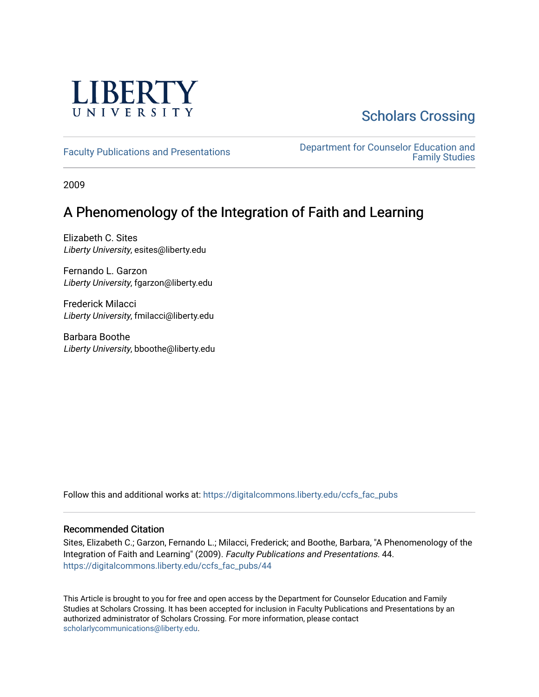

# [Scholars Crossing](https://digitalcommons.liberty.edu/)

[Faculty Publications and Presentations](https://digitalcommons.liberty.edu/ccfs_fac_pubs) **Department for Counselor Education and** [Family Studies](https://digitalcommons.liberty.edu/ccfs) 

2009

# A Phenomenology of the Integration of Faith and Learning

Elizabeth C. Sites Liberty University, esites@liberty.edu

Fernando L. Garzon Liberty University, fgarzon@liberty.edu

Frederick Milacci Liberty University, fmilacci@liberty.edu

Barbara Boothe Liberty University, bboothe@liberty.edu

Follow this and additional works at: [https://digitalcommons.liberty.edu/ccfs\\_fac\\_pubs](https://digitalcommons.liberty.edu/ccfs_fac_pubs?utm_source=digitalcommons.liberty.edu%2Fccfs_fac_pubs%2F44&utm_medium=PDF&utm_campaign=PDFCoverPages)

# Recommended Citation

Sites, Elizabeth C.; Garzon, Fernando L.; Milacci, Frederick; and Boothe, Barbara, "A Phenomenology of the Integration of Faith and Learning" (2009). Faculty Publications and Presentations. 44. [https://digitalcommons.liberty.edu/ccfs\\_fac\\_pubs/44](https://digitalcommons.liberty.edu/ccfs_fac_pubs/44?utm_source=digitalcommons.liberty.edu%2Fccfs_fac_pubs%2F44&utm_medium=PDF&utm_campaign=PDFCoverPages) 

This Article is brought to you for free and open access by the Department for Counselor Education and Family Studies at Scholars Crossing. It has been accepted for inclusion in Faculty Publications and Presentations by an authorized administrator of Scholars Crossing. For more information, please contact [scholarlycommunications@liberty.edu.](mailto:scholarlycommunications@liberty.edu)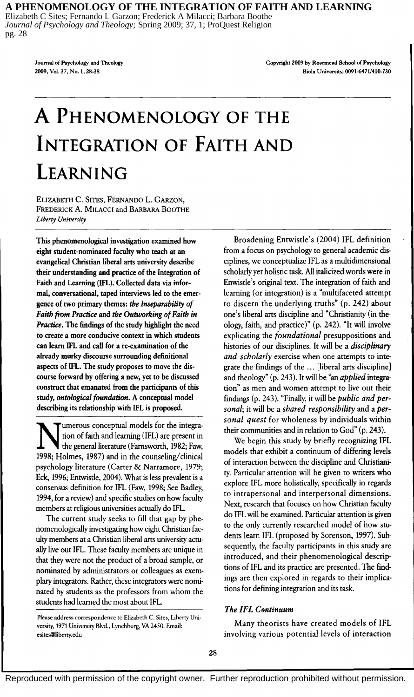#### **A PHENOMENOLOGY OF THE INTEGRATION OF FAITH AND LEARNING**

Elizabeth C Sites; Fernando L Garzon; Frederick A Milacci; Barbara Boothe *Journal of Psychology and Theology;* Spring 2009; 37, 1; ProQuest Religion pg. 28

> Journal of Psychology and Theology 2009, Vol. 37, No.1, 28-38

Copyright 2009 by Rosemead School of Psychology Biola University, *0091-6471/410-730* 

# **A PHENOMENOLOGY OF THE INTEGRATION OF FAITH AND LEARNING**

ELIZABETH C. SITES, FERNANDO L. GARZON, FREDERICK A. MILACCI and BARBARA BOOTHE *Liberty University* 

This phenomenological investigation examined how eight student-nominated faculty who teach at an evangelical Christian liberal arts university describe their understanding and practice of the Integration of Faith and Learning (IFL). Collected data via informal, conversational, taped interviews led to the emergence of two primary themes: *the Inseparability of Faith from Practice* and *the Outworking of Faith in Practice.* The findings of the study highlight the need to create a more conducive context in which students can learn IFL and call for a re-examination of the already murky discourse surrounding definitional aspects of IFL. The study proposes to move the discourse forward by offering a new, yet to be discussed construct that emanated from the participants of this study, *ontological foundation*. A conceptual model describing its relationship with IFL is proposed.

Immerous conceptual models for the integra-<br>tion of faith and learning (IFL) are present in<br>the general literature (Farnsworth, 1982; Faw, tion of faith and learning (IFL) are present in the general literature (Farnsworth, 1982; Faw, 1998; Holmes, 1987) and in the counseling/clinical psychology literature (Carter & Narramore, 1979; Eck, 1996; Entwistle, 2004). What is less prevalent is a consensus definition for IFL (Faw, 1998; See Badley, 1994, for a review) and specific studies on how faculty members at religious universities actually do IFL.

The current study seeks to fill that gap by phenomenologically investigating how eight Christian faculty members at a Christian liberal arts university actually live out IFL. These faculty members are unique in that they were not the product of a broad sample, or nominated by administrators or colleagues as exemplary integrators. Rather, these integrators were nominated by students as the professors from whom the students had learned the most about IFL.

Broadening Entwistle's (2004) IFL definition from a focus on psychology to general academic disciplines, we conceptualize IFL as a multidimensional scholarly yet holistic task. All italicized words were in Enwistle's original text. The integration of faith and learning (or integration) is a "multifaceted attempt to discern the underlying truths" (p. 242) about one's liberal arts discipline and "Christianity (in theology, faith, and practice)" (p. 242). "It will involve explicating the *foundational* presuppositions and histories of our disciplines. It will be a *disciplinary and scholarly* exercise when one attempts to integrate the findings of the ... [liberal arts discipline] and theology" (p. 243). It will be "an *applied* integration" as men and women attempt to live out their findings (p. 243). "Finally, it will be *public and personal;* it will be a *shared responsibility* and a *personal quest* for wholeness by individuals within their communities and in relation to God" (p. 243).

We begin this study by briefly recognizing IFL models that exhibit a continuum of differing levels of interaction between the discipline and Christianity. Particular attention will be given to writers who explore IFL more holistically, specifically in regards to intrapersonal and interpersonal dimensions. Next, research that focuses on how Christian faculty do IFL will be examined. Particular attention is given to the only currently researched model of how students learn IFL (proposed by Sorenson, 1997). Subsequently, the faculty participants in this study are introduced, and their phenomenological descriptions of IFL and its practice are presented. The findings are then explored in regards to their implications for defining integration and its task.

## *The IFL Continuum*

Many theorists have created models of IFL involving various potential levels of interaction

Please address correspondence to Elizabeth C. Sites, Liberty University, 1971 University Blvd., Lynchburg, VA 2450. Email: esites@liberty.edu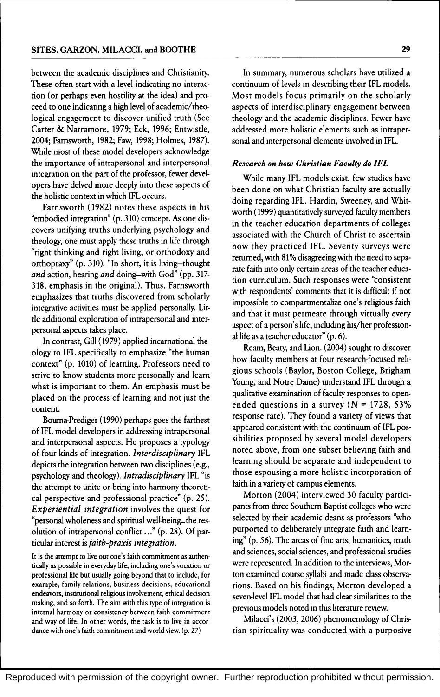between the academic disciplines and Christianity. These often start with a level indicating no interaction (or perhaps even hostility at the idea) and proceed to one indicating a high level of academic/ theological engagement to discover unified truth (See Carter & Narramore, 1979; Eck, 1996; Entwistle, 2004; Farnsworth, 1982; Faw, 1998; Holmes, 1987). While most of these model developers acknowledge the importance of intrapersonal and interpersonal integration on the part of the professor, fewer developers have delved more deeply into these aspects of the holistic context in which IFL occurs.

Farnsworth (1982) notes these aspects in his "embodied integration" (p. 310) concept. *As* one discovers unifying truths underlying psychology and theology, one must apply these truths in life through "right thinking and right living, or orthodoxy and orthopraxy" (p. 310). "In short, it is living-thought *and* action, hearing *and* doing-with God" (pp. 317- 318, emphasis in the original). Thus, Farnsworth emphasizes that truths discovered from scholarly integrative activities must be applied personally. Little additional exploration of intrapersonal and interpersonal aspects takes place.

In contrast, Gill (1979) applied incarnational theology to IFL specifically to emphasize "the human context" (p. 1010) of learning. Professors need to strive to know students more personally and learn what is important to them. An emphasis must be placed on the process of learning and not just the content.

Bouma-Prediger (1990) perhaps goes the farthest of IFL model developers in addressing intrapersonal and interpersonal aspects. He proposes a typology of four kinds of integration. *Interdisciplinary* IFL depicts the integration between two disciplines (e.g., psychology and theology). *Intradisciplinary* IFL "is the atrempt to unite or bring into harmony theoretical perspective and professional practice" (p. 25). *Experiential integration* involves the quest for "personal wholeness and spiritual well-being...the resolution of intrapersonal conflict ..." (p. 28). Of particular interest is *faith-praxis integration.* 

It is the attempt to live out one's faith commitment as authentically as possible in everyday life, including one's vocation or professional life but usually going beyond that to include, for example, family relations, business decisions, educational endeavors, institutional religious involvement, ethical decision making, and so forth. The aim with this type of integration is internal harmony or consistency between faith commitment and way of life. In other words, the task is to live in accordance with one's faith commitment and world view. (p. 27)

In summary, numerous scholars have utilized a continuum of levels in describing their IFL models. Most models focus primarily on the scholarly aspects of interdisciplinary engagement between theology and the academic disciplines. Fewer have addressed more holistic elements such as intrapersonal and interpersonal elements involved in IFL.

#### *Research on how Christian Faculty do IFL*

While many IFL models exist, few studies have been done on what Christian faculty are actually doing regarding IFL. Hardin, Sweeney, and Whitworth (1999) quantitatively surveyed faculty members in the teacher education departments of colleges associated with the Church of Christ to ascertain how they practiced IFL. Seventy surveys were returned, with 81% disagreeing with the need to separate faith into only certain areas of the teacher education curriculum. Such responses were "consistent with respondents' comments that it is difficult if not impossible to compartmentalize one's religious faith and that it must permeate through virtually every aspect of a person's life, including his/her professionallife as a teacher educator" (p. 6).

Ream, Beaty, and Lion. (2004) sought to discover how faculty members at four research-focused religious schools (Baylor, Boston College, Brigham Young, and Notre Dame) understand IFL through a qualitative examination of faculty responses to openended questions in a survey  $(N = 1728, 53\%)$ response rate). They found a variety of views that appeared consistent with the continuum of IFL possibilities proposed by several model developers noted above, from one subset believing faith and learning should be separate and independent to those espousing a more holistic incorporation of faith in a variety of campus elements.

Morton (2004) interviewed 30 faculty participants from three Southern Baptist colleges who were selected by their academic deans as professors "who purported to deliberately integrate faith and learning" (p. 56). The areas of fine arts, humanities, math and sciences, social sciences, and professional studies were represented. In addition to the interviews, Morton examined course syllabi and made class observations. Based on his findings, Morton developed a seven-level IFL model that had clear similarities to the previous models noted in this literature review.

Milacci's (2003, 2006) phenomenology of Christian spirituality was conducted with a purposive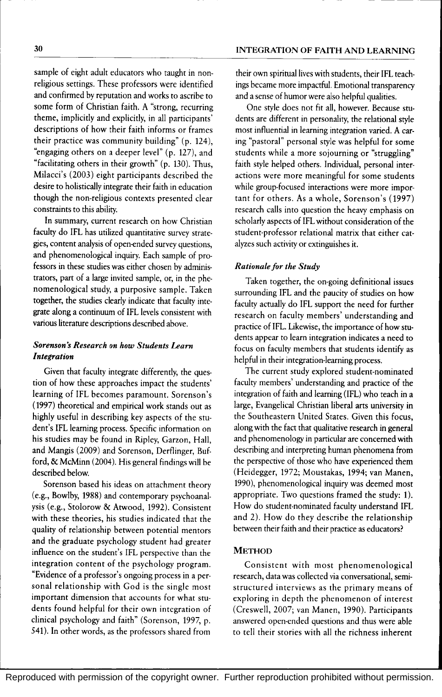sample of eight adult educators who taught in nonreligious settings. These professors were identified and confirmed by reputation and works to ascribe to some form of Christian faith. A "strong, recurring theme, implicitly and explicitly, in all participants' descriptions of how their faith informs or frames their practice was community building" (p. 124), "engaging others on a deeper level" (p. 127), and "facilitating others in their growth" (p. 130). Thus, Milacci's (2003) eight participants described the desire to holistically integrate their faith in education though the non-religious contexts presented clear constraints to this ability.

In summary, current research on how Christian faculty do IFL has utilized quantitative survey strategies, content analysis of open-ended survey questions, and phenomenological inquiry. Each sample of professors in these studies was either chosen by administrators, part of a large invited sample, or, in the phenomenological study, a purposive sample. Taken together, the studies clearly indicate that faculty integrate along a continuum of IFL levels consistent with various literature descriptions described above.

## *Sorenson* s *Research on how Students Learn Integration*

Given that faculty integrate differently, the question of how these approaches impact the students' learning of IFL becomes paramount. Sorenson's (1997) theoretical and empirical work stands out as highly useful in describing key aspects of the student's IFL learning process. Specific information on his studies may be found in Ripley, Garzon, Hall, and Mangis (2009) and Sorenson, Derflinger, Bufford, & McMinn (2004). His general findings will be described below.

Sorenson based his ideas on attachment theory (e.g., Bowlby, 1988) and contemporary psychoanalysis (e.g., Stolorow & Atwood, 1992). Consistent with these theories, his studies indicated that the quality of relationship between potential mentors and the graduate psychology student had greater influence on the student's IFL perspective than the integration content of the psychology program. "Evidence of a professor's ongoing process in a personal relationship with God is the single most important dimension that accounts for what students found helpful for their own integration of clinical psychology and faith" (Sorenson, 1997, p. 541). In other words, as the professors shared from

their own spiritual lives with students, their IFL teachings became more impactful. Emotional transparency and a sense of humor were also helpful qualities.

One style does not fit all, however. Because students are different in personality, the relational style most influential in learning integration varied. A caring "pastoral" personal style was helpful for some students while a more sojourning or "struggling" faith style helped others. Individual, personal interactions were more meaningful for some students while group-focused interactions were more important for others. As a whole, Sorenson's (1997) research calls into question the heavy emphasis on scholarly aspects of IFL without consideration of the student-professor relational matrix that either catalyzes such activity or extinguishes it.

#### *Rationale for the Study*

Taken together, the on-going definitional issues surrounding IFL and the paucity of studies on how faculty actually do IFL support the need for further research on faculty members' understanding and practice of IFL. Likewise, the importance of how students appear to learn integration indicates a need to focus on faculty members that students identify as helpful in their integration-learning process.

The current study explored student-nominated faculty members' understanding and practice of the integration of faith and learning (IFL) who teach in a large, Evangelical Christian liberal arts university in the Southeastern United States. Given this focus, along with the fact that qualitative research in general and phenomenology in particular are concerned with describing and interpreting human phenomena from the perspective of those who have experienced them (Heidegger, 1972; Moustakas, 1994; van Manen, 1990), phenomenological inquiry was deemed most appropriate. Two questions framed the study: 1). How do student-nominated faculty understand IFL and 2). How do they describe the relationship between their faith and their practice as educators?

#### **METHOD**

Consistent with most phenomenological research, data was collected via conversational, semistructured interviews as the primary means of exploring in depth the phenomenon of interest (Creswell, 2007; van Manen, 1990). Participants answered open-ended questions and thus were able to tell their stories with all the richness inherent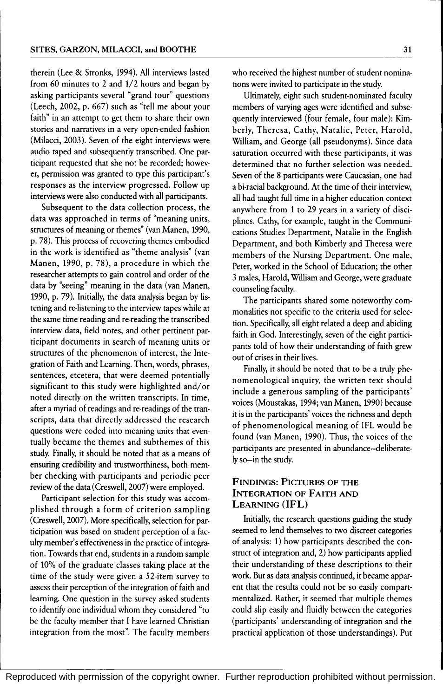therein (Lee & Stronks, 1994). All interviews lasted from 60 minutes to 2 and 1/2 hours and began by asking participants several "grand tour" questions (Leech, 2002, p. 667) such as "tell me about your faith" in an attempt to get them to share their own stories and narratives in a very open-ended fashion (Milacci, 2003). Seven of the eight interviews were audio taped and subsequently transcribed. One participant requested that she not be recorded; however, permission was granted to type this participant's responses as the interview progressed. Follow up interviews were also conducted with all participants.

Subsequent to the data collection process, the data was approached in terms of "meaning units, structures of meaning or themes" (van Manen, 1990, p. 78). This process of recovering themes embodied in the work is identified as "theme analysis" (van Manen, 1990, p. 78), a procedure in which the researcher attempts to gain control and order of the data by "seeing" meaning in the data (van Manen, 1990, p. 79). Initially, the data analysis began by listening and re-listening to the interview tapes while at the same time reading and re-reading the transcribed interview data, field notes, and other pertinent participant documents in search of meaning units or structures of the phenomenon of interest, the Integration of Faith and Learning. Then, words, phrases, sentences, etcetera, that were deemed potentially significant to this study were highlighted and/or noted directly on the written transcripts. In time, after a myriad of readings and re-readings of the transcripts, data that directly addressed the research questions were coded into meaning units that eventually became the themes and subthemes of this study. Finally, it should be noted that as a means of ensuring credibility and trustworthiness, both member checking with participants and periodic peer review of the data (Creswell, 2007) were employed.

Participant selection for this study was accomplished through a form of criterion sampling (Creswell, 2007). More specifically, selection for participation was based on student perception of a faculty member's effectiveness in the practice of integration. Towards that end, students in a random sample of 10% of the graduate classes taking place at the time of the study were given a 52-item survey to assess their perception of the integration of faith and learning. One question in the survey asked students to identify one individual whom they considered "to be the faculty member that I have learned Christian integration from the most". The faculty members

who received the highest number of student nominations were invited to participate in the study.

Ultimately, eight such student-nominated faculty members of varying ages were identified and subsequently interviewed (four female, four male): Kimberly, Theresa, Cathy, Natalie, Peter, Harold, William, and George (all pseudonyms). Since data saturation occurred with these participants, it was determined that no further selection was needed. Seven of the 8 participants were Caucasian, one had a bi-racial background. At the time of their interview, all had taught full time in a higher education context anywhere from 1 to 29 years in a variety of disciplines. Cathy, for example, taught in the Communications Studies Department, Natalie in the English Department, and both Kimberly and Theresa were members of the Nursing Department. One male, Peter, worked in the School of Education; the other 3 males, Harold, William and George, were graduate counseling faculty.

The participants shared some noteworthy commonalities not specific to the criteria used for selection. Specifically, all eight related a deep and abiding faith in God. Interestingly, seven of the eight participants told of how their understanding of faith grew out of crises in their lives.

Finally, it should be noted that to be a truly phenomenological inquiry, the written text should include a generous sampling of the participants' voices (Moustakas, 1994; van Manen, 1990) because it is in the participants' voices the richness and depth of phenomenological meaning of IFL would be found (van Manen, 1990). Thus, the voices of the participants are presented in abundance-deliberately so-in the study.

#### FINDINGS: PICTURES OF THE INTEGRATION OF FAITH AND LEARNING (IFL)

Initially, the research questions guiding the study seemed to lend themselves to two discreet categories of analysis: 1) how participants described the construct of integration and, 2) how participants applied their understanding of these descriptions to their work. But as data analysis continued, it became apparent that the results could not be so easily compartmentalized. Rather, it seemed that multiple themes could slip easily and fluidly between the categories (participants' understanding of integration and the practical application of those understandings). Put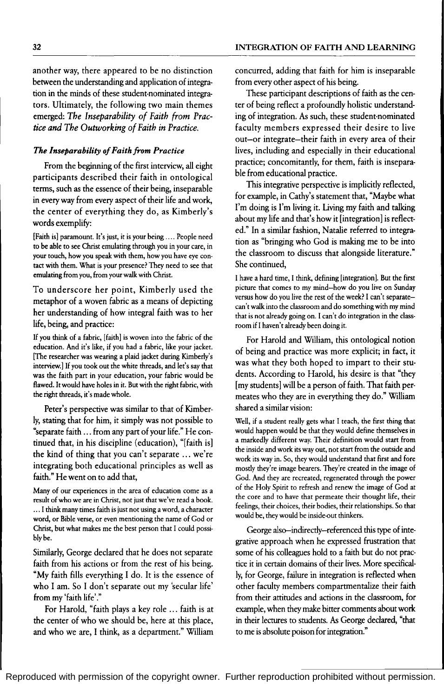another way, there appeared to be no distinction between the understanding and application of integration in the minds of these student-nominated integrators. Ultimately, the following two main themes emerged: *The Inseparability of Faith from Practice and The Outworking of Faith in Practice.* 

#### *The Inseparability of Faith from Practice*

From the beginning of the first interview, all eight participants described their faith in ontological terms, such as the essence of their being, inseparable in every way from every aspect of their life and work, the center of everything they do, as Kimberly's words exemplify:

[Faith is] paramount. It's just, it is your being .... People need to be able to see Christ emulating through you in your care, in your touch, how you speak with them, how you have eye contact with them. What is your presence? They need to see that emulating from you, from your walk with Christ.

To underscore her point, Kimberly used the metaphor of a woven fabric as a means of depicting her understanding of how integral faith was to her life, being, and practice:

If you think of a fabric, [faith] is woven into the fabric of the education. And it's like, if you had a fabric, like your jacket. [The researcher was wearing a plaid jacket during Kimberly's interview.] If you took out the white threads, and let's say that was the faith part in your education, your fabric would be flawed. It would have holes in it. But with the right fabric, with the right threads, it's made whole.

Peter's perspective was similar to that of Kimberly, stating that for him, it simply was not possible to "separate faith ... from any part of your life." He continued that, in his discipline {education}, "[faith is] the kind of thing that you can't separate ... we're integrating both educational principles as well as faith." He went on to add that,

Many of our experiences in the area of education come as a result of who we are in Christ, not just that we've read a book. ... I think many times faith is just not using a word, a character word, or Bible verse, or even mentioning the name of God or Christ, but what makes me the best person that I could possiblybe.

Similarly, George declared that he does not separate faith from his actions or from the rest of his being. "My faith fills everything I do. It is the essence of who I am. So I don't separate out my 'secular life' from my 'faith life'."

For Harold, "faith plays a key role ... faith is at the center of who we should be, here at this place, and who we are, I think, as a department." William

concurred, adding that faith for him is inseparable from every other aspect of his being.

These participant descriptions of faith as the center of being reflect a profoundly holistic understanding of integration. As such, these student-nominated faculty members expressed their desire to live out-or integrate-their faith in every area of their lives, including and especially in their educational practice; concomitantly, for them, faith is inseparable from educational practice.

This integrative perspective is implicitly reflected, for example, in Cathy's statement that, "Maybe what I'm doing is I'm living it. Living my faith and talking about my life and that's how it [integration] is reflected." In a similar fashion, Natalie referred to integration as "bringing who God is making me to be into the classroom to discuss that alongside literature." She continued,

I have a hard time, I think, defining [integration]. But the first picture that comes to my mind-how do you live on Sunday versus how do you live the rest of the week? I can't separatecan't walk into the classroom and do something with my mind that is not already going on. I can't do integration in the classroom if I haven't already been doing it.

For Harold and William, this ontological notion of being and practice was more explicit; in fact, it was what they both hoped to impart to their students. According to Harold, his desire is that "they [my students] will be a person of faith. That faith permeates who they are in everything they do." William shared a similar vision:

Well, if a student really gets what I teach, the first thing that would happen would be that they would define themselves in a markedly different way. Their definition would start from the inside and work its way out, not start from the outside and work its way in. So, they would understand that first and fore mostly they're image bearers. They're created in the image of God. And they are recreated, regenerated through the power of the Holy Spirit to refresh and renew the image of God at the core and to have that permeate their thought life, their feelings, their choices, their bodies, their relationships. So that would be, they would be inside-out thinkers.

George also-indirectly-referenced this type of integrative approach when he expressed frustration that some of his colleagues hold to a faith but do not practice it in certain domains of their lives. More specifically, for George, failure in integration is reflected when other faculty members compartmentalize their faith from their attitudes and actions in the classroom, for example, when they make bitter comments about work in their lectures to students. As George declared, "that to me is absolute poison for integration."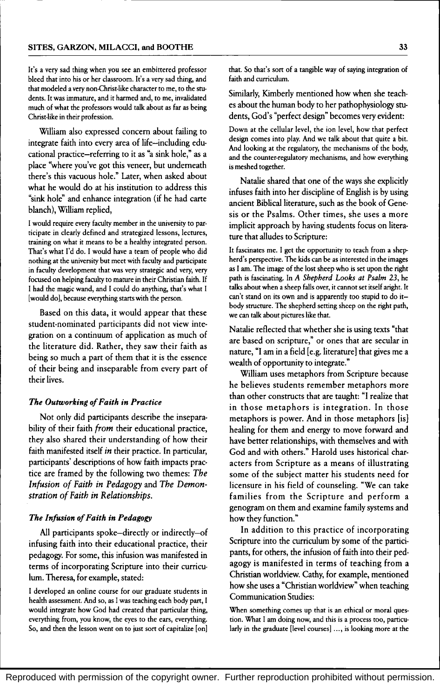It's a very sad thing when you see an embittered professor bleed that into his or her classroom. It's a very sad thing, and that modeled a very non-Christ-like character to me, to the students. It was immature, and it harmed and, to me, invalidated much of what the professors would talk about as far as being Christ-like in their profession.

William also expressed concern about failing to integrate faith into every area of life-including educational practice-referring to it as "a sink hole," as a place "where you've got this veneer, but underneath there's this vacuous hole." Later, when asked about what he would do at his institution to address this "sink hole" and enhance integration (if he had carte blanch), William replied,

I would require every faculty member in the university to participate in clearly defined and strategized lessons, lectures, training on what it means to be a healthy integrated person. That's what I'd do. I would have a team of people who did nothing at the university but meet with faculty and participate in faculty development that was very strategic and very, very focused on helping faculty to mature in their Christian faith. If I had the magic wand, and I could do anything, that's what I [would do], because everything starts with the person.

Based on this data, it would appear that these student-nominated participants did not view integration on a continuum of application as much of the literature did. Rather, they saw their faith as being so much a part of them that it is the essence of their being and inseparable from every part of their lives.

#### *The Outworking of Faith in Practice*

Not only did participants describe the inseparability of their faith *from* their educational practice, they also shared their understanding of how their faith manifested itself *in* their practice. In particular, participants' descriptions of how faith impacts practice are framed by the following two themes: *The Infusion of Faith in Pedagogy* and *The Demonstration of Faith in Relationships.* 

#### *The Infusion of Faith in Pedagogy*

All participants spoke-directly or indirectly-of infusing faith into their educational practice, their pedagogy. For some, this infusion was manifested in terms of incorporating Scripture into their curriculum. Theresa, for example, stated:

I developed an online course for our graduate students in health assessment. And so, as I was teaching each body part, I would integrate how God had created that particular thing, everything from, you know, the eyes to the ears, everything. So, and then the lesson went on to just sort of capitalize [on] that. So that's sort of a tangible way of saying integration of faith and curriculum.

Similarly, Kimberly mentioned how when she teaches about the human body to her pathophysiology students, God's "perfect design" becomes very evident:

Down at the cellular level, the ion level, how that perfect design comes into play. And we talk about that quite a bit. And looking at the regulatory, the mechanisms of the body, and the counter-regulatory mechanisms, and how everything is meshed together.

Natalie shared that one of the ways she explicitly infuses faith into her discipline of English is by using ancient Biblical literature, such as the book of Genesis or the Psalms. Other times, she uses a more implicit approach by having students focus on literature that alludes to Scripture:

It fascinates me. I get the opportunity to teach from a shepherd's perspective. The kids can be as interested in the images as I am. The image of the lost sheep who is set upon the right path is fascinating. In *A Shepherd Looks at Psalm* 23, he talks about when a sheep falls over, it cannot set itself aright. It can't stand on its own and is apparently too stupid to do itbody structure. The shepherd setting sheep on the right path, we can talk about pictures like that.

Natalie reflected that whether she is using texts "that are based on scripture," or ones that are secular in nature, "I am in a field [e.g. literature] that gives me a wealth of opportunity to integrate."

William uses metaphors from Scripture because he believes students remember metaphors more than other constructs that are taught: "I realize that in those metaphors is integration. In those metaphors is power. And in those metaphors [is] healing for them and energy to move forward and have better relationships, with themselves and with God and with others." Harold uses historical characters from Scripture as a means of illustrating some of the subject matter his students need for licensure in his field of counseling. "We can take families from the Scripture and perform a genogram on them and examine family systems and how they function."

In addition to this practice of incorporating Scripture into the curriculum by some of the participants, for others, the infusion of faith into their pedagogy is manifested in terms of teaching from a Christian worldview. Cathy, for example, mentioned how she uses a "Christian worldview" when teaching Communication Studies:

When something comes up that is an ethical or moral question. What I am doing now, and this is a process too, particularly in the graduate [level courses] ..., is looking more at the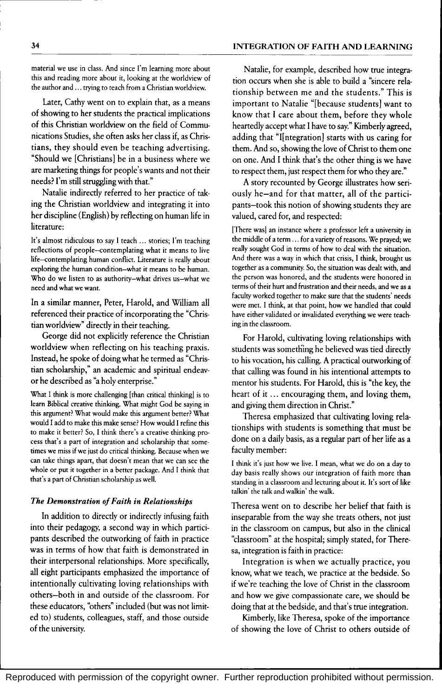material we use in class. And since I'm learning more about this and reading more about it, looking at the worldview of the author and ... trying to teach from a Christian worldview.

Later, Cathy went on to explain that, as a means of showing to her students the practical implications of this Christian worldview on the field of Communications Studies, she often asks her class if, as Christians, they should even be teaching advertising. "Should we [Christians] be in a business where we are marketing things for people's wants and not their needs? I'm still struggling with that."

Natalie indirectly referred to her practice of taking the Christian worldview and integrating it into her discipline (English) by reflecting on human life in literature:

It's almost ridiculous to say I teach ... stories; I'm teaching reflections of people-contemplating what it means to live life-contemplating human conflict. Literature is really about exploring the human condition-what it means to be human. Who do we listen to as authority-what drives us-what we need and what we want.

In a similar manner, Peter, Harold, and William all referenced their practice of incorporating the "Christian worldview" directly in their teaching.

George did not explicitly reference the Christian worldview when reflecting on his teaching praxis. Instead, he spoke of doing what he termed as "Christian scholarship," an academic and spiritual endeavor he described as "a holy enterprise."

What I think is more challenging [than critical thinking] is to learn Biblical creative thinking. What might God be saying in this argument? What would make this argument better? What would I add to make this make sense? How would I refine this to make it better? So, I think there's a creative thinking pro· cess that's a part of integration and scholarship that some· times we miss if we just do critical thinking. Because when we can take things apart, that doesn't mean that we can see the whole or put it together in a better package. And I think that that's a part of Christian scholarship as well.

#### *The Demonstration of Faith in Relationships*

In addition to directly or indirectly infusing faith into their pedagogy, a second way in which participants described the outworking of faith in practice was in terms of how that faith is demonstrated in their interpersonal relationships. More specifically, all eight participants emphasized the importance of intentionally cultivating loving relationships with others-both in and outside of the classroom. For these educators, "others" included (but was not limited to) students, colleagues, staff, and those outside of the university.

Natalie, for example, described how true integration occurs when she is able to build a "sincere relationship between me and the students." This is important to Natalie "[because students] want to know that I care about them, before they whole heartedly accept what I have to say." Kimberly agreed, adding that "I[ntegration] starts with us caring for them. And so, showing the love of Christ to them one on one. And I think that's the other thing is we have to respect them, just respect them for who they are."

A story recounted by George illustrates how seriously he-and for that matter, all of the participants-took this notion of showing students they are valued, cared for, and respected:

[There was] an instance where a professor left a university in the middle of a term ... for a variety of reasons. We prayed; we really sought God in terms of how to deal with the situation. And there was a way in which that crisis, I think, brought us together as a community. So, the situation was dealt with, and the person was honored, and the students were honored in terms of their hurt and frustration and their needs, and we as a faculty worked together to make sure that the students' needs were met. I think, at that point, how we handled that could have either validated or invalidated everything we were teaching in the classroom.

For Harold, cultivating loving relationships with students was something he believed was tied directly to his vocation, his calling. A practical outworking of that calling was found in his intentional attempts to mentor his students. For Harold, this is "the key, the heart of it ... encouraging them, and loving them, and giving them direction in Christ."

Theresa emphasized that cultivating loving relationships with students is something that must be done on a daily basis, as a regular part of her life as a faculty member:

I think it's just how we live. I mean, what we do on a day to day basis really shows our integration of faith more than standing in a classroom and lecturing about it. It's sort of like talkin' the talk and walkin' the walk.

Theresa went on to describe her belief that faith is inseparable from the way she treats others, not just in the classroom on campus, but also in the clinical "classroom" at the hospital; simply stated, for Theresa, integration is faith in practice:

Integration is when we actually practice, you know, what we teach, we practice at the bedside. So if we're teaching the love of Christ in the classroom and how we give compassionate care, we should be doing that at the bedside, and that's true integration.

Kimberly, like Theresa, spoke of the importance of showing the love of Christ to others outside of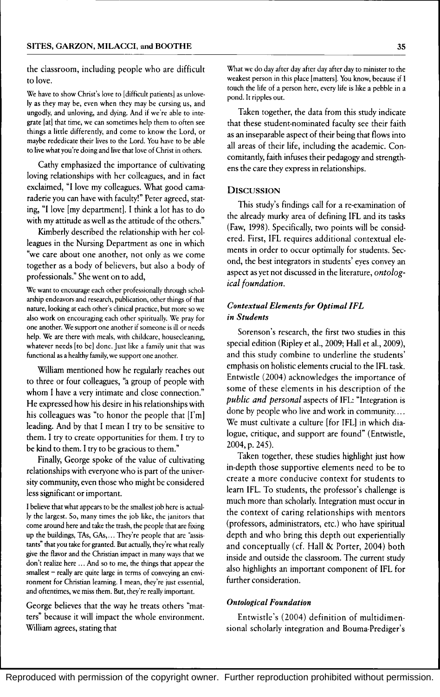the classroom, including people who are difficult to love.

We have to show Christ's love to [difficult patients] as unlovely as they may be, even when they may be cursing us, and ungodly, and unloving, and dying. And if we're able to inte· grate [at] that time, we can sometimes help them to often see things a little differently, and come to know the Lord, or maybe rededicate their lives to the Lord. You have to be able to live what you're doing and live that love of Christ in others.

Cathy emphasized the importance of cultivating loving relationships with her colleagues, and in fact exclaimed, "I love my colleagues. What good camaraderie you can have with faculty!" Peter agreed, stating, "I love [my department]. I think a lot has to do with my attitude as well as the attitude of the others."

Kimberly described the relationship with her colleagues in the Nursing Department as one in which "we care about one another, not only as we come together as a body of believers, but also a body of professionals." She went on to add,

We want to encourage each other professionally through scholarship endeavors and research, publication, other things of that nature, looking at each other's clinical practice, but more so we also work on encouraging each other spiritually. We pray for one another. We support one another if someone is ill or needs help. We are there with meals, with childcare, housecleaning, whatever needs [to be] done. Just like a family unit that was functional as a healthy family, we support one another.

William mentioned how he regularly reaches out to three or four colleagues, "a group of people with whom I have a very intimate and close connection." He expressed how his desire in his relationships with his colleagues was "to honor the people that  $[I'm]$ leading. And by that I mean I try to be sensitive to them. I try to create opportunities for them. I try to be kind to them. I try to be gracious to them."

Finally, George spoke of the value of cultivating relationships with everyone who is part of the university community, even those who might be considered less significant or important.

I believe that what appears to be the smallest job here is actually the largest. So, many times the job like, the janitors that come around here and take the trash, the people that are fixing up the buildings, TAs, GAs, ... They're people that are "assistants" that you take for granted. But actually, they're what really give the flavor and the Christian impact in many ways that we don't realize here ... And so to me, the things that appear the smallest - really are quite large in terms of conveying an environment for Christian learning. I mean, they're just essential, and oftentimes, we miss them. But, they're really important.

George believes that the way he treats others "matters" because it will impact the whole environment. William agrees, stating that

What we do day after day after day after day to minister to the weakest person in this place [matters]. You know, because if I touch the life of a person here, every life is like a pebble in a pond. It ripples out.

Taken together, the data from this study indicate that these student-nominated faculty see their faith as an inseparable aspect of their being that flows into all areas of their life, including the academic. Concomitantly, faith infuses their pedagogy and strengthens the care they express in relationships.

#### **DISCUSSION**

This study's findings call for a re-examination of the already murky area of defining IFL and its tasks (Faw, 1998). Specifically, two points will be considered. First, IFL requires additional contextual elements in order to occur optimally for students. Second, the best integrators in students' eyes convey an aspect as yet not discussed in the literature, *ontological foundation.* 

#### *Contextual Elementsfor Optimal IFL in Students*

Sorenson's research, the first two studies in this special edition (Ripley et aI., 2009; Hall et aI., 2009), and this study combine to underline the students' emphasis on holistic elements crucial to the IFL task. Entwistle (2004) acknowledges the importance of some of these elements in his description of the *public and personal* aspects of IFL: "Integration is done by people who live and work in community .... We must cultivate a culture [for IFL] in which dialogue, critique, and support are found" (Entwistle, 2004, p. 245).

Taken together, these studies highlight just how in-depth those supportive elements need to be to create a more conducive context for students to learn IFL. To students, the professor's challenge is much more than scholarly. Integration must occur in the context of caring relationships with mentors (professors, administrators, etc.) who have spiritual depth and who bring this depth out experientially and conceptually (cf. Hall  $&$  Porter, 2004) both inside and outside the classroom. The current study also highlights an important component of IFL for further consideration.

#### *Ontological Foundation*

Entwistle's (2004) definition of multidimensional scholarly integration and Bouma-Prediger's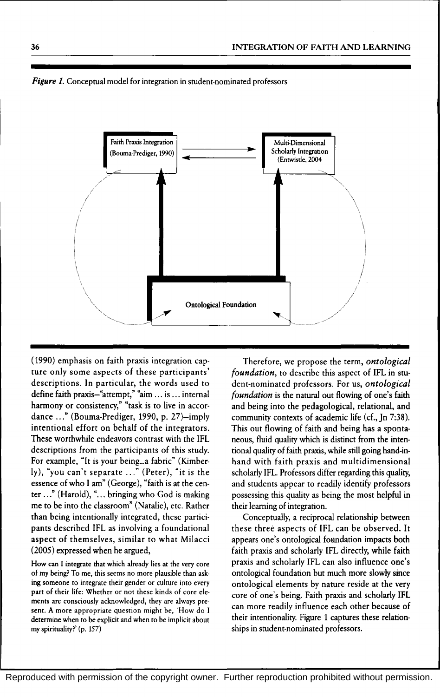

*Figure 1*. Conceptual model for integration in student-nominated professors

(1990) emphasis on faith praxis integration capture only some aspects of these participants' descriptions. In particular, the words used to define faith praxis-"attempt," "aim ... is ... internal harmony or consistency," "task is to live in accordance ..." (Bouma-Prediger, 1990, p. 27)-imply intentional effort on behalf of the integrators. These worthwhile endeavors contrast with the IFL descriptions from the participants of this study. For example, "It is your being...a fabric" (Kimberly), "you can't separate ..." (Peter), "it is the essence of who I am" (George), "faith is at the center ..." (Harold), "... bringing who God is making me to be into the classroom" (Natalie), etc. Rather than being intentionally integrated, these participants described IFL as involving a foundational aspect of themselves, similar to what Milacci (2005) expressed when he argued,

How can I integrate that which already lies at the very core of my being? To me, this seems no more plausible than asking someone to integrate their gender or culture into every part of their life: Whether or not these kinds of core elements are consciously acknowledged, they are always present. A more appropriate question might be, 'How do I determine when to be explicit and when to be implicit about my spirituality?' (p. 157)

Therefore, we propose the term, *ontological foundation,* to describe this aspect of IFL in student-nominated professors. For us, *ontological foundation* is the natural out flowing of one's faith and being into the pedagological, relational, and community contexts of academic life (cf., In 7:38). This out flowing of faith and being has a spontaneous, fluid quality which is distinct from the intentional quality of faith praxis, while still going hand-inhand with faith praxis and multidimensional scholarly IFL. Professors differ regarding this quality, and students appear to readily identify professors possessing this quality as being the most helpful in their learning of integration.

Conceptually, a reciprocal relationship between these three aspects of IFL can be observed. It appears one's ontological foundation impacts both faith praxis and scholarly IFL directly, while faith praxis and scholarly IFL can also influence one's ontological foundation but much more slowly since ontological elements by nature reside at the very core of one's being. Faith praxis and scholarly IFL can more readily influence each other because of their intentionality. Figure 1 captures these relationships in student-nominated professors.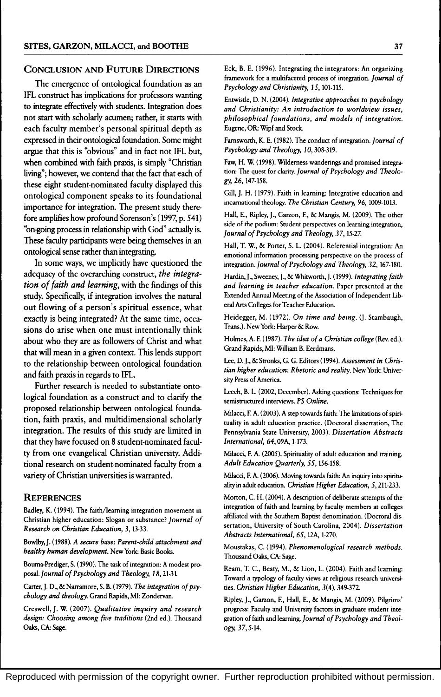#### CONCLUSION AND FUTURE DIRECTIONS

The emergence of ontological foundation as an IFL construct has implications for professors wanting to integrate effectively with students. Integration does not start with scholarly acumen; rather, it starts with each faculty member's personal spiritual depth as expressed in their ontological foundation. Some might argue that this is "obvious" and in fact not IFL but, when combined with faith praxis, is simply "Christian living"; however, we contend that the fact that each of these eight student-nominated faculty displayed this ontological component speaks to its foundational importance for integration. The present study therefore amplifies how profound Sorenson's (1997, p. 541) "on-going process in relationship with God" actually is. These faculty participants were being themselves in an ontological sense rather than integrating.

In some ways, we implicitly have questioned the adequacy of the overarching construct, *the integration of faith and learning,* with the findings of this study. Specifically, if integration involves the natural out flowing of a person's spiritual essence, what exactly is being integrated? At the same time, occasions do arise when one must intentionally think about who they are as followers of Christ and what that will mean in a given context. This lends support to the relationship between ontological foundation and faith praxis in regards to IFL.

Further research is needed to substantiate ontological foundation as a construct and to clarify the proposed relationship between ontological foundation, faith praxis, and multidimensional scholarly integration. The results of this study are limited in that they have focused on 8 student-nominated faculty from one evangelical Christian university. Additional research on student-nominated faculty from a variety of Christian universities is wartanted.

#### **REFERENCES**

Badley, K. (1994). The faith/learning integration movement in Christian higher education: Slogan or substance? *Journal of Research on Christian Education,* 3, 13·33.

Bowlby,]. (1988). *A secure base: Parent-child attachment and healthy human development.* New York: Basic Books.

Bouma·Prediger, S. (199O). The task of integration: A modest proposal-Journal *of Psychology and Theology,* 18,21-31

Carter,]. D., & Narramore, S. B. (1979). *The integration of psychology and theology.* Grand Rapids, MI: Zondervan.

Creswell, J. W. (2007). *Qualitative inquiry and research design: Choosing among five traditions* (2nd ed.). Thousand Oaks, CA: Sage.

Eck, B. E. (1996). Integrating the integrators: An organizing framework for a multifaceted process of integration. *Journal of Psychology and Christianity,* 15,101·115.

Entwistle, D. N. (2004). *Integrative approaches to psychology and Christianity: An introduction to worldview issues, philosophical foundations, and models of integration.*  Eugene, OR: Wipf and Stock.

Farnsworth, K. E. (1982). The conduct of integration. *Journal of Psychology and Theology, 10,308-319.* 

Faw, H. W. (1998). Wilderness wanderings and promised integration: The quest for clarity. *Journal of Psychology and Theolo*gy, 26, 147·158.

Gill,]. H. (1979). Faith in learning: Integrative education and incarnational theology. *The Christian Century,* 96, 1009-1013.

Hall, E., Ripley,]., Garzon, E, & Mangis, M. (2009). The other side of the podium: Student perspectives on learning integration, *Journal of Psychology and Theology,* 37, 15-27.

Hall, T. w., & Porter, S. L. (2004). Referential integration: An emotional information processing perspective on the process of integration. *Journal of Psychology and Theology,* 32, 167·180.

Hardin,]., Sweeney,]., & Whitworth,]. (1999). *Integrating faith and learning in teacher education.* Paper presented at the Extended Annual Meeting of the Association of Independent Lib· eral Arts Colleges for Teacher Education.

Heidegger, M. (1972). *On time and being.* (J. Stambaugh, Trans.). New York: Harper & Row.

Holmes, A. E (1987). *The idea of a Christian college* (Rev. ed.). Grand Rapids, MI: William B. Eerdmans.

Lee, D. J., & Stronks, G. G. Editors (1994). *Assessment in Christian higher education: Rhetoric and reality.* New York: Univer· sity Press of America.

Leech, B. L. (2002, December). Asking questions: Techniques for semistructured interviews. PS *Online.* 

Milacci, E A. (2003). A step towards faith: The limitations of spiri· tuality in adult education practice. (Doctoral dissertation, The Pennsylvania State University, 2003). *Dissertation Abstracts International,* 64,09A, 1·173.

Milacci, E A. (2005). Spirituality of adult education and training. *Adult Education Quarterly,* 55, 156-158.

Milacci, E A. (2006). Moving towards faith: An inquiry into spirinr ality in adult education. *Christian Higher Education*, 5, 211-233.

Morton, C. H. (2004). A description of deliberate attempts of the integration of faith and learning by faculty members at colleges affiliated with the Southern Baptist denomination. (Doctoral dissertation, University of South Carolina, 2004). *Dissertation Abstracts International,* 65, 12A, 1·270.

Moustakas, C. (1994). *Phenomenological research methods.*  Thousand Oaks, CA: Sage.

Ream, T. c., Beaty, M., & Lion, L. (2004). Faith and learning: Toward a typology of faculty views at religious research universities. *Christian Higher Education,* 3(4}, 349-372.

Ripley, J., Garzon, E, Hall, E., & Mangis, M. (2009). Pilgrims' progress: Faculty and University factors in graduate student inte· gration of faith and learning. *Journal of Psychology and Theology,37,5·14.*